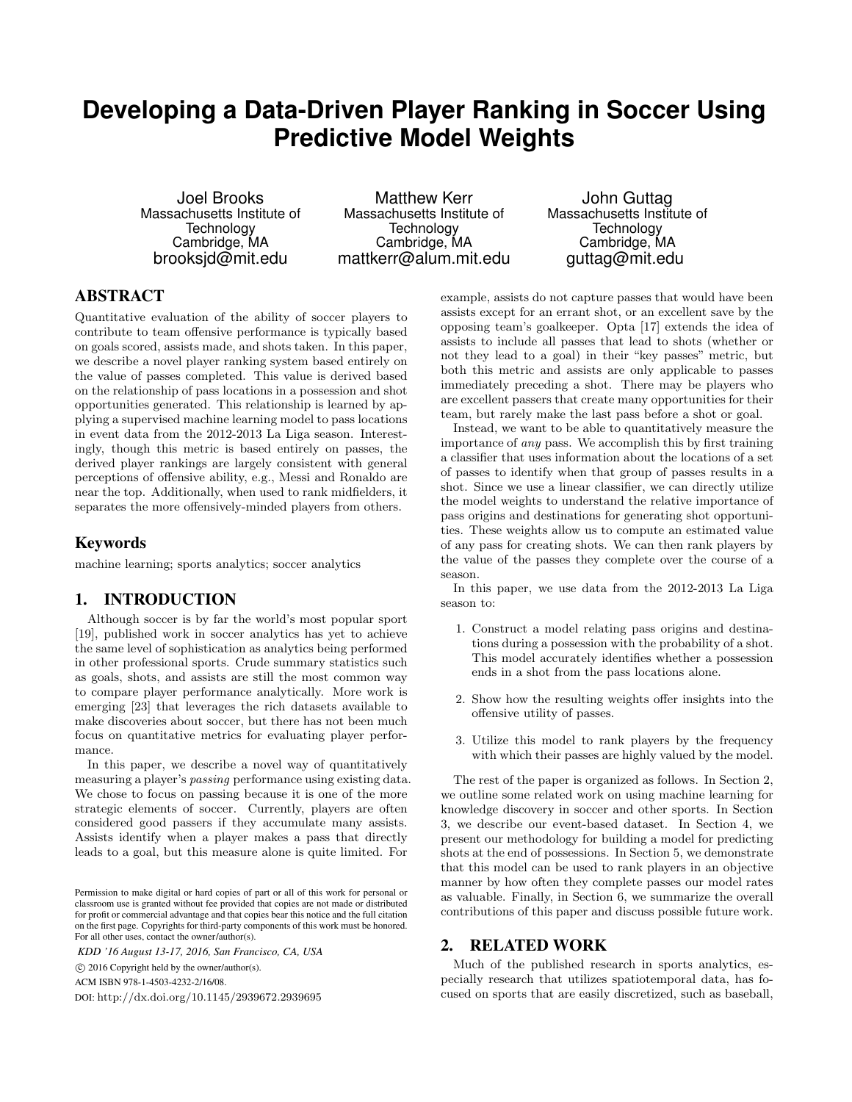# **Developing a Data-Driven Player Ranking in Soccer Using Predictive Model Weights**

Joel Brooks Massachusetts Institute of **Technology** Cambridge, MA brooksjd@mit.edu

Matthew Kerr Massachusetts Institute of **Technology** Cambridge, MA mattkerr@alum.mit.edu

John Guttag Massachusetts Institute of **Technology** Cambridge, MA guttag@mit.edu

# ABSTRACT

Quantitative evaluation of the ability of soccer players to contribute to team offensive performance is typically based on goals scored, assists made, and shots taken. In this paper, we describe a novel player ranking system based entirely on the value of passes completed. This value is derived based on the relationship of pass locations in a possession and shot opportunities generated. This relationship is learned by applying a supervised machine learning model to pass locations in event data from the 2012-2013 La Liga season. Interestingly, though this metric is based entirely on passes, the derived player rankings are largely consistent with general perceptions of offensive ability, e.g., Messi and Ronaldo are near the top. Additionally, when used to rank midfielders, it separates the more offensively-minded players from others.

## Keywords

machine learning; sports analytics; soccer analytics

## 1. INTRODUCTION

Although soccer is by far the world's most popular sport [19], published work in soccer analytics has yet to achieve the same level of sophistication as analytics being performed in other professional sports. Crude summary statistics such as goals, shots, and assists are still the most common way to compare player performance analytically. More work is emerging [23] that leverages the rich datasets available to make discoveries about soccer, but there has not been much focus on quantitative metrics for evaluating player performance.

In this paper, we describe a novel way of quantitatively measuring a player's passing performance using existing data. We chose to focus on passing because it is one of the more strategic elements of soccer. Currently, players are often considered good passers if they accumulate many assists. Assists identify when a player makes a pass that directly leads to a goal, but this measure alone is quite limited. For

*KDD '16 August 13-17, 2016, San Francisco, CA, USA*

c 2016 Copyright held by the owner/author(s).

ACM ISBN 978-1-4503-4232-2/16/08.

DOI: http://dx.doi.org/10.1145/2939672.2939695

example, assists do not capture passes that would have been assists except for an errant shot, or an excellent save by the opposing team's goalkeeper. Opta [17] extends the idea of assists to include all passes that lead to shots (whether or not they lead to a goal) in their "key passes" metric, but both this metric and assists are only applicable to passes immediately preceding a shot. There may be players who are excellent passers that create many opportunities for their team, but rarely make the last pass before a shot or goal.

Instead, we want to be able to quantitatively measure the importance of any pass. We accomplish this by first training a classifier that uses information about the locations of a set of passes to identify when that group of passes results in a shot. Since we use a linear classifier, we can directly utilize the model weights to understand the relative importance of pass origins and destinations for generating shot opportunities. These weights allow us to compute an estimated value of any pass for creating shots. We can then rank players by the value of the passes they complete over the course of a season.

In this paper, we use data from the 2012-2013 La Liga season to:

- 1. Construct a model relating pass origins and destinations during a possession with the probability of a shot. This model accurately identifies whether a possession ends in a shot from the pass locations alone.
- 2. Show how the resulting weights offer insights into the offensive utility of passes.
- 3. Utilize this model to rank players by the frequency with which their passes are highly valued by the model.

The rest of the paper is organized as follows. In Section 2, we outline some related work on using machine learning for knowledge discovery in soccer and other sports. In Section 3, we describe our event-based dataset. In Section 4, we present our methodology for building a model for predicting shots at the end of possessions. In Section 5, we demonstrate that this model can be used to rank players in an objective manner by how often they complete passes our model rates as valuable. Finally, in Section 6, we summarize the overall contributions of this paper and discuss possible future work.

## 2. RELATED WORK

Much of the published research in sports analytics, especially research that utilizes spatiotemporal data, has focused on sports that are easily discretized, such as baseball,

Permission to make digital or hard copies of part or all of this work for personal or classroom use is granted without fee provided that copies are not made or distributed for profit or commercial advantage and that copies bear this notice and the full citation on the first page. Copyrights for third-party components of this work must be honored. For all other uses, contact the owner/author(s).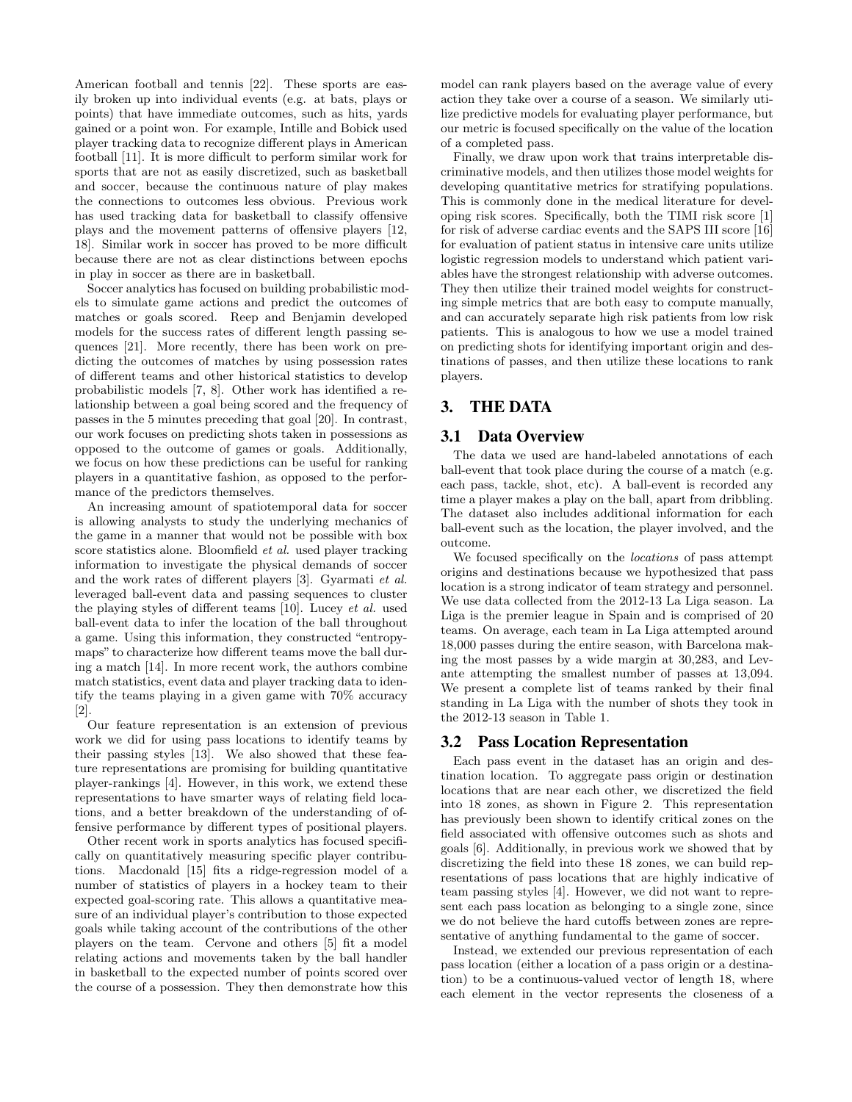American football and tennis [22]. These sports are easily broken up into individual events (e.g. at bats, plays or points) that have immediate outcomes, such as hits, yards gained or a point won. For example, Intille and Bobick used player tracking data to recognize different plays in American football [11]. It is more difficult to perform similar work for sports that are not as easily discretized, such as basketball and soccer, because the continuous nature of play makes the connections to outcomes less obvious. Previous work has used tracking data for basketball to classify offensive plays and the movement patterns of offensive players [12, 18]. Similar work in soccer has proved to be more difficult because there are not as clear distinctions between epochs in play in soccer as there are in basketball.

Soccer analytics has focused on building probabilistic models to simulate game actions and predict the outcomes of matches or goals scored. Reep and Benjamin developed models for the success rates of different length passing sequences [21]. More recently, there has been work on predicting the outcomes of matches by using possession rates of different teams and other historical statistics to develop probabilistic models [7, 8]. Other work has identified a relationship between a goal being scored and the frequency of passes in the 5 minutes preceding that goal [20]. In contrast, our work focuses on predicting shots taken in possessions as opposed to the outcome of games or goals. Additionally, we focus on how these predictions can be useful for ranking players in a quantitative fashion, as opposed to the performance of the predictors themselves.

An increasing amount of spatiotemporal data for soccer is allowing analysts to study the underlying mechanics of the game in a manner that would not be possible with box score statistics alone. Bloomfield *et al.* used player tracking information to investigate the physical demands of soccer and the work rates of different players [3]. Gyarmati et al. leveraged ball-event data and passing sequences to cluster the playing styles of different teams [10]. Lucey et al. used ball-event data to infer the location of the ball throughout a game. Using this information, they constructed "entropymaps" to characterize how different teams move the ball during a match [14]. In more recent work, the authors combine match statistics, event data and player tracking data to identify the teams playing in a given game with 70% accuracy  $\lceil 2 \rceil$ 

Our feature representation is an extension of previous work we did for using pass locations to identify teams by their passing styles [13]. We also showed that these feature representations are promising for building quantitative player-rankings [4]. However, in this work, we extend these representations to have smarter ways of relating field locations, and a better breakdown of the understanding of offensive performance by different types of positional players.

Other recent work in sports analytics has focused specifically on quantitatively measuring specific player contributions. Macdonald [15] fits a ridge-regression model of a number of statistics of players in a hockey team to their expected goal-scoring rate. This allows a quantitative measure of an individual player's contribution to those expected goals while taking account of the contributions of the other players on the team. Cervone and others [5] fit a model relating actions and movements taken by the ball handler in basketball to the expected number of points scored over the course of a possession. They then demonstrate how this model can rank players based on the average value of every action they take over a course of a season. We similarly utilize predictive models for evaluating player performance, but our metric is focused specifically on the value of the location of a completed pass.

Finally, we draw upon work that trains interpretable discriminative models, and then utilizes those model weights for developing quantitative metrics for stratifying populations. This is commonly done in the medical literature for developing risk scores. Specifically, both the TIMI risk score [1] for risk of adverse cardiac events and the SAPS III score [16] for evaluation of patient status in intensive care units utilize logistic regression models to understand which patient variables have the strongest relationship with adverse outcomes. They then utilize their trained model weights for constructing simple metrics that are both easy to compute manually, and can accurately separate high risk patients from low risk patients. This is analogous to how we use a model trained on predicting shots for identifying important origin and destinations of passes, and then utilize these locations to rank players.

## 3. THE DATA

#### 3.1 Data Overview

The data we used are hand-labeled annotations of each ball-event that took place during the course of a match (e.g. each pass, tackle, shot, etc). A ball-event is recorded any time a player makes a play on the ball, apart from dribbling. The dataset also includes additional information for each ball-event such as the location, the player involved, and the outcome.

We focused specifically on the locations of pass attempt origins and destinations because we hypothesized that pass location is a strong indicator of team strategy and personnel. We use data collected from the 2012-13 La Liga season. La Liga is the premier league in Spain and is comprised of 20 teams. On average, each team in La Liga attempted around 18,000 passes during the entire season, with Barcelona making the most passes by a wide margin at 30,283, and Levante attempting the smallest number of passes at 13,094. We present a complete list of teams ranked by their final standing in La Liga with the number of shots they took in the 2012-13 season in Table 1.

## 3.2 Pass Location Representation

Each pass event in the dataset has an origin and destination location. To aggregate pass origin or destination locations that are near each other, we discretized the field into 18 zones, as shown in Figure 2. This representation has previously been shown to identify critical zones on the field associated with offensive outcomes such as shots and goals [6]. Additionally, in previous work we showed that by discretizing the field into these 18 zones, we can build representations of pass locations that are highly indicative of team passing styles [4]. However, we did not want to represent each pass location as belonging to a single zone, since we do not believe the hard cutoffs between zones are representative of anything fundamental to the game of soccer.

Instead, we extended our previous representation of each pass location (either a location of a pass origin or a destination) to be a continuous-valued vector of length 18, where each element in the vector represents the closeness of a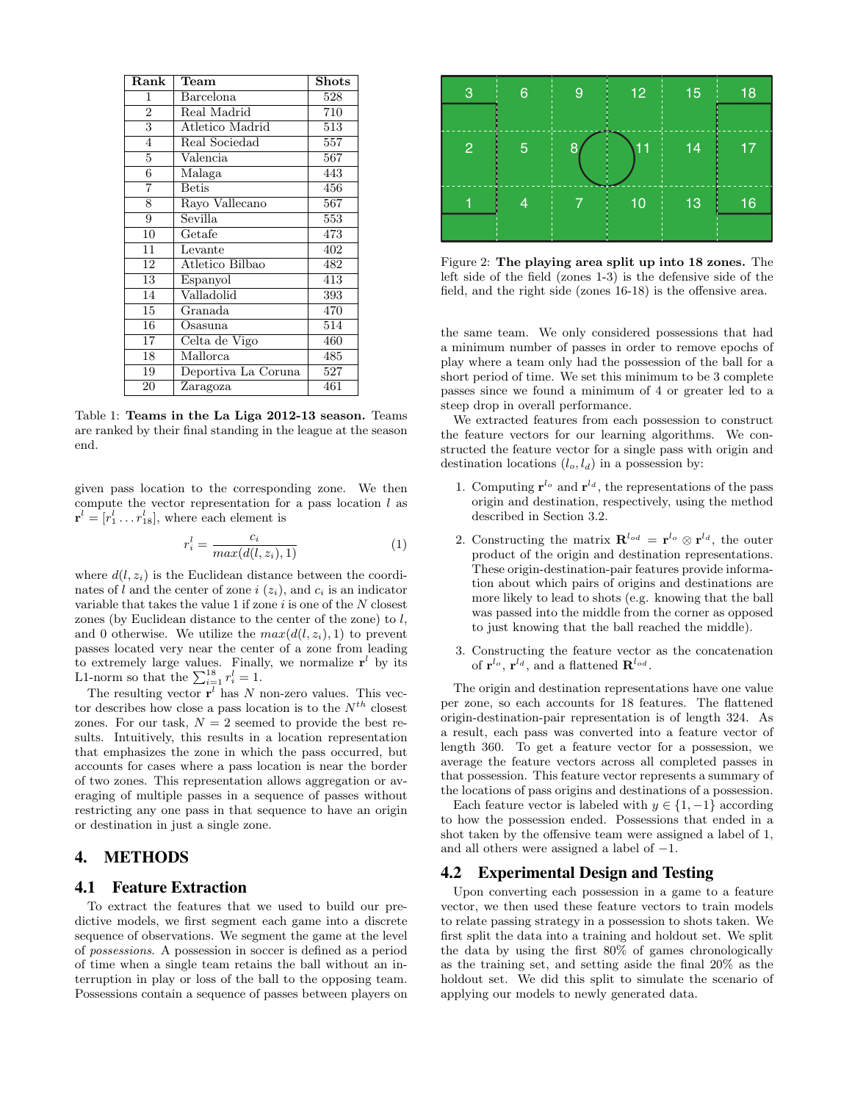|               | Rank           | Team                                                                                                                                                                                                                                                                                                                                                                                                                                                                                                                                                                                                                                                                                                                                                                                                                                                                                                                                                                                                                                                                                                                                                                                    | Shots |     |                                                                                                                                                                                                                       |
|---------------|----------------|-----------------------------------------------------------------------------------------------------------------------------------------------------------------------------------------------------------------------------------------------------------------------------------------------------------------------------------------------------------------------------------------------------------------------------------------------------------------------------------------------------------------------------------------------------------------------------------------------------------------------------------------------------------------------------------------------------------------------------------------------------------------------------------------------------------------------------------------------------------------------------------------------------------------------------------------------------------------------------------------------------------------------------------------------------------------------------------------------------------------------------------------------------------------------------------------|-------|-----|-----------------------------------------------------------------------------------------------------------------------------------------------------------------------------------------------------------------------|
|               | 1              | <b>B</b> arcelona                                                                                                                                                                                                                                                                                                                                                                                                                                                                                                                                                                                                                                                                                                                                                                                                                                                                                                                                                                                                                                                                                                                                                                       | 528   |     | 3                                                                                                                                                                                                                     |
|               | $\overline{2}$ | Real Madrid                                                                                                                                                                                                                                                                                                                                                                                                                                                                                                                                                                                                                                                                                                                                                                                                                                                                                                                                                                                                                                                                                                                                                                             | 710   |     |                                                                                                                                                                                                                       |
|               | 3              | Atletico Madrid                                                                                                                                                                                                                                                                                                                                                                                                                                                                                                                                                                                                                                                                                                                                                                                                                                                                                                                                                                                                                                                                                                                                                                         | 513   |     |                                                                                                                                                                                                                       |
|               | 4              | Real Sociedad                                                                                                                                                                                                                                                                                                                                                                                                                                                                                                                                                                                                                                                                                                                                                                                                                                                                                                                                                                                                                                                                                                                                                                           | 557   |     | $\overline{2}$                                                                                                                                                                                                        |
|               | 5              | Valencia                                                                                                                                                                                                                                                                                                                                                                                                                                                                                                                                                                                                                                                                                                                                                                                                                                                                                                                                                                                                                                                                                                                                                                                | 567   |     |                                                                                                                                                                                                                       |
|               | 6              | Malaga                                                                                                                                                                                                                                                                                                                                                                                                                                                                                                                                                                                                                                                                                                                                                                                                                                                                                                                                                                                                                                                                                                                                                                                  | 443   |     |                                                                                                                                                                                                                       |
|               | 7              | <b>Betis</b>                                                                                                                                                                                                                                                                                                                                                                                                                                                                                                                                                                                                                                                                                                                                                                                                                                                                                                                                                                                                                                                                                                                                                                            | 456   |     |                                                                                                                                                                                                                       |
|               | 8              | Rayo Vallecano                                                                                                                                                                                                                                                                                                                                                                                                                                                                                                                                                                                                                                                                                                                                                                                                                                                                                                                                                                                                                                                                                                                                                                          | 567   |     | 1                                                                                                                                                                                                                     |
|               | 9              | Sevilla                                                                                                                                                                                                                                                                                                                                                                                                                                                                                                                                                                                                                                                                                                                                                                                                                                                                                                                                                                                                                                                                                                                                                                                 | 553   |     |                                                                                                                                                                                                                       |
|               | 10             | Getafe                                                                                                                                                                                                                                                                                                                                                                                                                                                                                                                                                                                                                                                                                                                                                                                                                                                                                                                                                                                                                                                                                                                                                                                  | 473   |     |                                                                                                                                                                                                                       |
|               | 11             | Levante                                                                                                                                                                                                                                                                                                                                                                                                                                                                                                                                                                                                                                                                                                                                                                                                                                                                                                                                                                                                                                                                                                                                                                                 | 402   |     |                                                                                                                                                                                                                       |
|               | 12             | Atletico Bilbao                                                                                                                                                                                                                                                                                                                                                                                                                                                                                                                                                                                                                                                                                                                                                                                                                                                                                                                                                                                                                                                                                                                                                                         | 482   |     | Figure 2:                                                                                                                                                                                                             |
|               | 13             | Espanyol                                                                                                                                                                                                                                                                                                                                                                                                                                                                                                                                                                                                                                                                                                                                                                                                                                                                                                                                                                                                                                                                                                                                                                                | 413   |     | left side                                                                                                                                                                                                             |
|               | 14             | Valladolid                                                                                                                                                                                                                                                                                                                                                                                                                                                                                                                                                                                                                                                                                                                                                                                                                                                                                                                                                                                                                                                                                                                                                                              | 393   |     | field, and                                                                                                                                                                                                            |
|               | 15             | Granada                                                                                                                                                                                                                                                                                                                                                                                                                                                                                                                                                                                                                                                                                                                                                                                                                                                                                                                                                                                                                                                                                                                                                                                 | 470   |     |                                                                                                                                                                                                                       |
|               | 16             | Osasuna                                                                                                                                                                                                                                                                                                                                                                                                                                                                                                                                                                                                                                                                                                                                                                                                                                                                                                                                                                                                                                                                                                                                                                                 | 514   |     | the same                                                                                                                                                                                                              |
|               | 17             | Celta de Vigo                                                                                                                                                                                                                                                                                                                                                                                                                                                                                                                                                                                                                                                                                                                                                                                                                                                                                                                                                                                                                                                                                                                                                                           | 460   |     | a minim                                                                                                                                                                                                               |
|               | 18             | Mallorca                                                                                                                                                                                                                                                                                                                                                                                                                                                                                                                                                                                                                                                                                                                                                                                                                                                                                                                                                                                                                                                                                                                                                                                | 485   |     | play whe                                                                                                                                                                                                              |
|               | 19             | Deportiva La Coruna                                                                                                                                                                                                                                                                                                                                                                                                                                                                                                                                                                                                                                                                                                                                                                                                                                                                                                                                                                                                                                                                                                                                                                     | 527   |     | short per                                                                                                                                                                                                             |
|               | $20\,$         | Zaragoza                                                                                                                                                                                                                                                                                                                                                                                                                                                                                                                                                                                                                                                                                                                                                                                                                                                                                                                                                                                                                                                                                                                                                                                | 461   |     | passes si                                                                                                                                                                                                             |
| $_{\rm end.}$ |                | Table 1: Teams in the La Liga 2012-13 season. Teams<br>are ranked by their final standing in the league at the season                                                                                                                                                                                                                                                                                                                                                                                                                                                                                                                                                                                                                                                                                                                                                                                                                                                                                                                                                                                                                                                                   |       |     | steep dro<br>We ex<br>the feat<br>structed<br>destinati                                                                                                                                                               |
|               |                | given pass location to the corresponding zone. We then<br>compute the vector representation for a pass location $l$ as<br>$\mathbf{r}^l = [r_1^l \dots r_{18}^l]$ , where each element is                                                                                                                                                                                                                                                                                                                                                                                                                                                                                                                                                                                                                                                                                                                                                                                                                                                                                                                                                                                               |       |     | $1. \text{Co}$<br>ori<br>des                                                                                                                                                                                          |
|               |                | $r_i^l = \frac{c_i}{max(d(l, z_i), 1)}$                                                                                                                                                                                                                                                                                                                                                                                                                                                                                                                                                                                                                                                                                                                                                                                                                                                                                                                                                                                                                                                                                                                                                 |       | (1) | 2. Cor<br>pro                                                                                                                                                                                                         |
| 4.            | <b>METHODS</b> | where $d(l, z_i)$ is the Euclidean distance between the coordi-<br>nates of l and the center of zone $i(z_i)$ , and $c_i$ is an indicator<br>variable that takes the value 1 if zone $i$ is one of the $N$ closest<br>zones (by Euclidean distance to the center of the zone) to $l$ ,<br>and 0 otherwise. We utilize the $max(d(l, z_i), 1)$ to prevent<br>passes located very near the center of a zone from leading<br>to extremely large values. Finally, we normalize $rt$ by its<br>L1-norm so that the $\sum_{i=1}^{18} r_i^l = 1$ .<br>The resulting vector $\mathbf{r}^l$ has N non-zero values. This vec-<br>tor describes how close a pass location is to the $N^{th}$ closest<br>zones. For our task, $N=2$ seemed to provide the best re-<br>sults. Intuitively, this results in a location representation<br>that emphasizes the zone in which the pass occurred, but<br>accounts for cases where a pass location is near the border<br>of two zones. This representation allows aggregation or av-<br>eraging of multiple passes in a sequence of passes without<br>restricting any one pass in that sequence to have an origin<br>or destination in just a single zone. |       |     | Th<br>tion<br>mo<br>was<br>to j<br>$3. \text{Co}$<br>of 1<br>The or<br>per zone<br>origin-de<br>a result,<br>length <sub>3</sub><br>average<br>that poss<br>the locat<br>Each f<br>to how t<br>shot take<br>and all o |
|               |                |                                                                                                                                                                                                                                                                                                                                                                                                                                                                                                                                                                                                                                                                                                                                                                                                                                                                                                                                                                                                                                                                                                                                                                                         |       |     | 4.2<br>E                                                                                                                                                                                                              |
| 4.1           |                | <b>Feature Extraction</b><br>To extract the features that we used to build our pre-<br>dictive models, we first segment each game into a discrete<br>sequence of observations. We segment the game at the level<br>of <i>possessions</i> . A possession in soccer is defined as a period<br>of time when a single team retains the ball without an in-<br>terruption in play or loss of the ball to the opposing team.<br>Possessions contain a sequence of passes between players on                                                                                                                                                                                                                                                                                                                                                                                                                                                                                                                                                                                                                                                                                                   |       |     | Upon<br>vector, w<br>to relate<br>first split<br>the data<br>as the tr<br>holdout<br>applying                                                                                                                         |

Table 1: Teams in the La Liga 2012-13 season. Teams are ranked by their final standing in the league at the season end.

$$
r_i^l = \frac{c_i}{max(d(l, z_i), 1)}
$$
\n<sup>(1)</sup>

# 4. METHODS

#### 4.1 Feature Extraction



Figure 2: The playing area split up into 18 zones. The left side of the field (zones 1-3) is the defensive side of the field, and the right side (zones 16-18) is the offensive area.

the same team. We only considered possessions that had a minimum number of passes in order to remove epochs of play where a team only had the possession of the ball for a short period of time. We set this minimum to be 3 complete passes since we found a minimum of 4 or greater led to a steep drop in overall performance.

We extracted features from each possession to construct the feature vectors for our learning algorithms. We constructed the feature vector for a single pass with origin and destination locations  $(l_o, l_d)$  in a possession by:

- 1. Computing  $\mathbf{r}^{l_o}$  and  $\mathbf{r}^{l_d}$ , the representations of the pass origin and destination, respectively, using the method described in Section 3.2.
- 2. Constructing the matrix  $\mathbf{R}^{l_{od}} = \mathbf{r}^{l_o} \otimes \mathbf{r}^{l_d}$ , the outer product of the origin and destination representations. These origin-destination-pair features provide information about which pairs of origins and destinations are more likely to lead to shots (e.g. knowing that the ball was passed into the middle from the corner as opposed to just knowing that the ball reached the middle).
- 3. Constructing the feature vector as the concatenation of  $\mathbf{r}^{l_o}$ ,  $\mathbf{r}^{l_d}$ , and a flattened  $\mathbf{R}^{l_{od}}$ .

The origin and destination representations have one value per zone, so each accounts for 18 features. The flattened origin-destination-pair representation is of length 324. As a result, each pass was converted into a feature vector of length 360. To get a feature vector for a possession, we average the feature vectors across all completed passes in that possession. This feature vector represents a summary of the locations of pass origins and destinations of a possession.

Each feature vector is labeled with  $y \in \{1, -1\}$  according to how the possession ended. Possessions that ended in a shot taken by the offensive team were assigned a label of 1, and all others were assigned a label of  $-1$ .

## 4.2 Experimental Design and Testing

Upon converting each possession in a game to a feature vector, we then used these feature vectors to train models to relate passing strategy in a possession to shots taken. We first split the data into a training and holdout set. We split the data by using the first 80% of games chronologically as the training set, and setting aside the final 20% as the holdout set. We did this split to simulate the scenario of applying our models to newly generated data.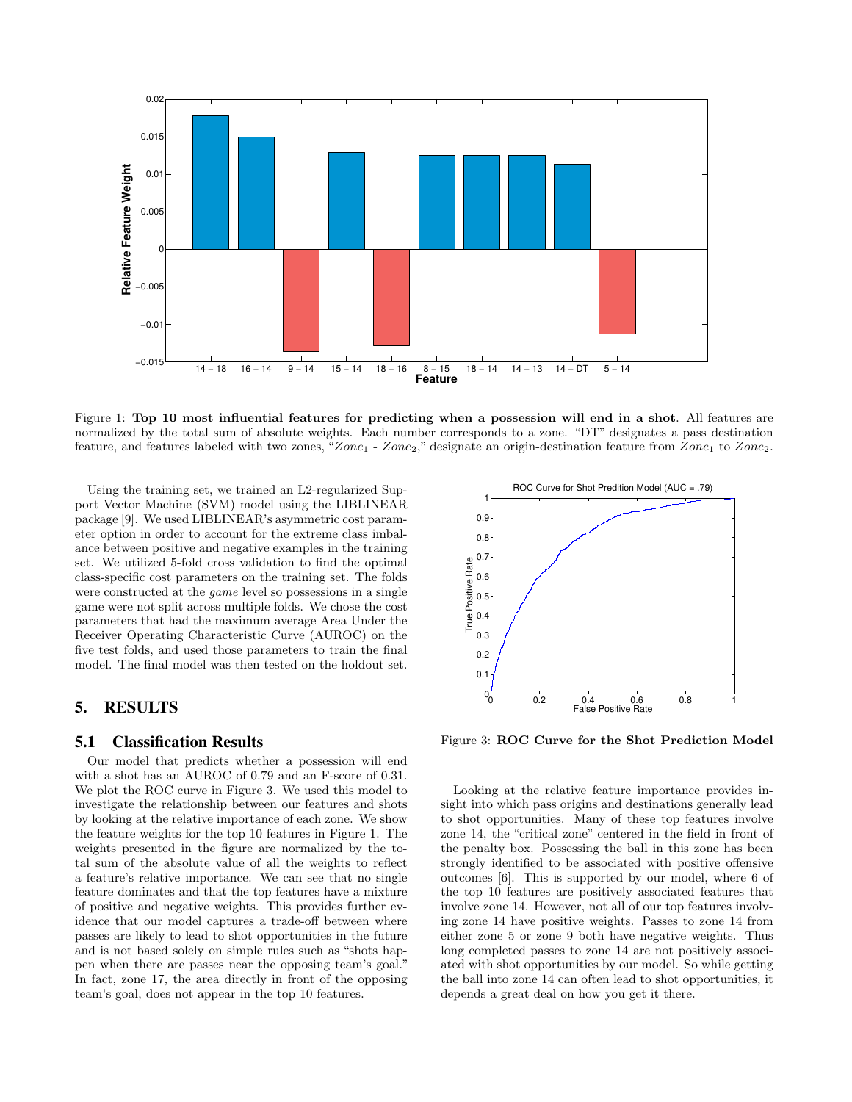

Figure 1: Top 10 most influential features for predicting when a possession will end in a shot. All features are normalized by the total sum of absolute weights. Each number corresponds to a zone. "DT" designates a pass destination feature, and features labeled with two zones, "Zone<sub>1</sub> - Zone<sub>2</sub>," designate an origin-destination feature from Zone<sub>1</sub> to Zone<sub>2</sub>.

Using the training set, we trained an L2-regularized Support Vector Machine (SVM) model using the LIBLINEAR package [9]. We used LIBLINEAR's asymmetric cost parameter option in order to account for the extreme class imbalance between positive and negative examples in the training set. We utilized 5-fold cross validation to find the optimal class-specific cost parameters on the training set. The folds were constructed at the game level so possessions in a single game were not split across multiple folds. We chose the cost parameters that had the maximum average Area Under the Receiver Operating Characteristic Curve (AUROC) on the five test folds, and used those parameters to train the final model. The final model was then tested on the holdout set.

# 5. RESULTS

### 5.1 Classification Results

Our model that predicts whether a possession will end with a shot has an AUROC of 0.79 and an F-score of 0.31. We plot the ROC curve in Figure 3. We used this model to investigate the relationship between our features and shots by looking at the relative importance of each zone. We show the feature weights for the top 10 features in Figure 1. The weights presented in the figure are normalized by the total sum of the absolute value of all the weights to reflect a feature's relative importance. We can see that no single feature dominates and that the top features have a mixture of positive and negative weights. This provides further evidence that our model captures a trade-off between where passes are likely to lead to shot opportunities in the future and is not based solely on simple rules such as "shots happen when there are passes near the opposing team's goal." In fact, zone 17, the area directly in front of the opposing team's goal, does not appear in the top 10 features.



Figure 3: ROC Curve for the Shot Prediction Model

Looking at the relative feature importance provides insight into which pass origins and destinations generally lead to shot opportunities. Many of these top features involve zone 14, the "critical zone" centered in the field in front of the penalty box. Possessing the ball in this zone has been strongly identified to be associated with positive offensive outcomes [6]. This is supported by our model, where 6 of the top 10 features are positively associated features that involve zone 14. However, not all of our top features involving zone 14 have positive weights. Passes to zone 14 from either zone 5 or zone 9 both have negative weights. Thus long completed passes to zone 14 are not positively associated with shot opportunities by our model. So while getting the ball into zone 14 can often lead to shot opportunities, it depends a great deal on how you get it there.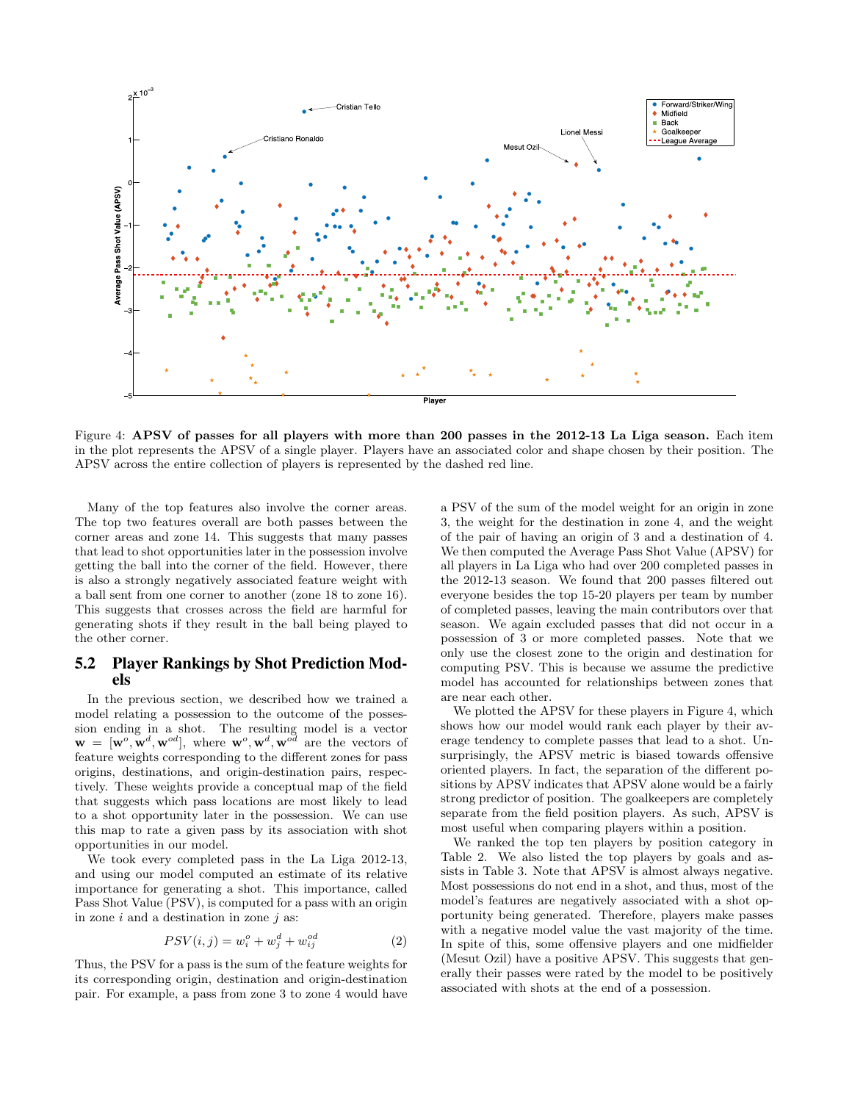

Figure 4: APSV of passes for all players with more than 200 passes in the 2012-13 La Liga season. Each item in the plot represents the APSV of a single player. Players have an associated color and shape chosen by their position. The APSV across the entire collection of players is represented by the dashed red line.

Many of the top features also involve the corner areas. The top two features overall are both passes between the corner areas and zone 14. This suggests that many passes that lead to shot opportunities later in the possession involve getting the ball into the corner of the field. However, there is also a strongly negatively associated feature weight with a ball sent from one corner to another (zone 18 to zone 16). This suggests that crosses across the field are harmful for generating shots if they result in the ball being played to the other corner.

### 5.2 Player Rankings by Shot Prediction Models

In the previous section, we described how we trained a model relating a possession to the outcome of the possession ending in a shot. The resulting model is a vector  $\mathbf{w} = [\mathbf{w}^o, \mathbf{w}^d, \mathbf{w}^{od}]$ , where  $\mathbf{w}^o, \mathbf{w}^d, \mathbf{w}^{od}$  are the vectors of feature weights corresponding to the different zones for pass origins, destinations, and origin-destination pairs, respectively. These weights provide a conceptual map of the field that suggests which pass locations are most likely to lead to a shot opportunity later in the possession. We can use this map to rate a given pass by its association with shot opportunities in our model.

We took every completed pass in the La Liga 2012-13, and using our model computed an estimate of its relative importance for generating a shot. This importance, called Pass Shot Value (PSV), is computed for a pass with an origin in zone  $i$  and a destination in zone  $j$  as:

$$
PSV(i,j) = w_i^o + w_j^d + w_{ij}^{od}
$$
 (2)

Thus, the PSV for a pass is the sum of the feature weights for its corresponding origin, destination and origin-destination pair. For example, a pass from zone 3 to zone 4 would have a PSV of the sum of the model weight for an origin in zone 3, the weight for the destination in zone 4, and the weight of the pair of having an origin of 3 and a destination of 4. We then computed the Average Pass Shot Value (APSV) for all players in La Liga who had over 200 completed passes in the 2012-13 season. We found that 200 passes filtered out everyone besides the top 15-20 players per team by number of completed passes, leaving the main contributors over that season. We again excluded passes that did not occur in a possession of 3 or more completed passes. Note that we only use the closest zone to the origin and destination for computing PSV. This is because we assume the predictive model has accounted for relationships between zones that are near each other.

We plotted the APSV for these players in Figure 4, which shows how our model would rank each player by their average tendency to complete passes that lead to a shot. Unsurprisingly, the APSV metric is biased towards offensive oriented players. In fact, the separation of the different positions by APSV indicates that APSV alone would be a fairly strong predictor of position. The goalkeepers are completely separate from the field position players. As such, APSV is most useful when comparing players within a position.

We ranked the top ten players by position category in Table 2. We also listed the top players by goals and assists in Table 3. Note that APSV is almost always negative. Most possessions do not end in a shot, and thus, most of the model's features are negatively associated with a shot opportunity being generated. Therefore, players make passes with a negative model value the vast majority of the time. In spite of this, some offensive players and one midfielder (Mesut Ozil) have a positive APSV. This suggests that generally their passes were rated by the model to be positively associated with shots at the end of a possession.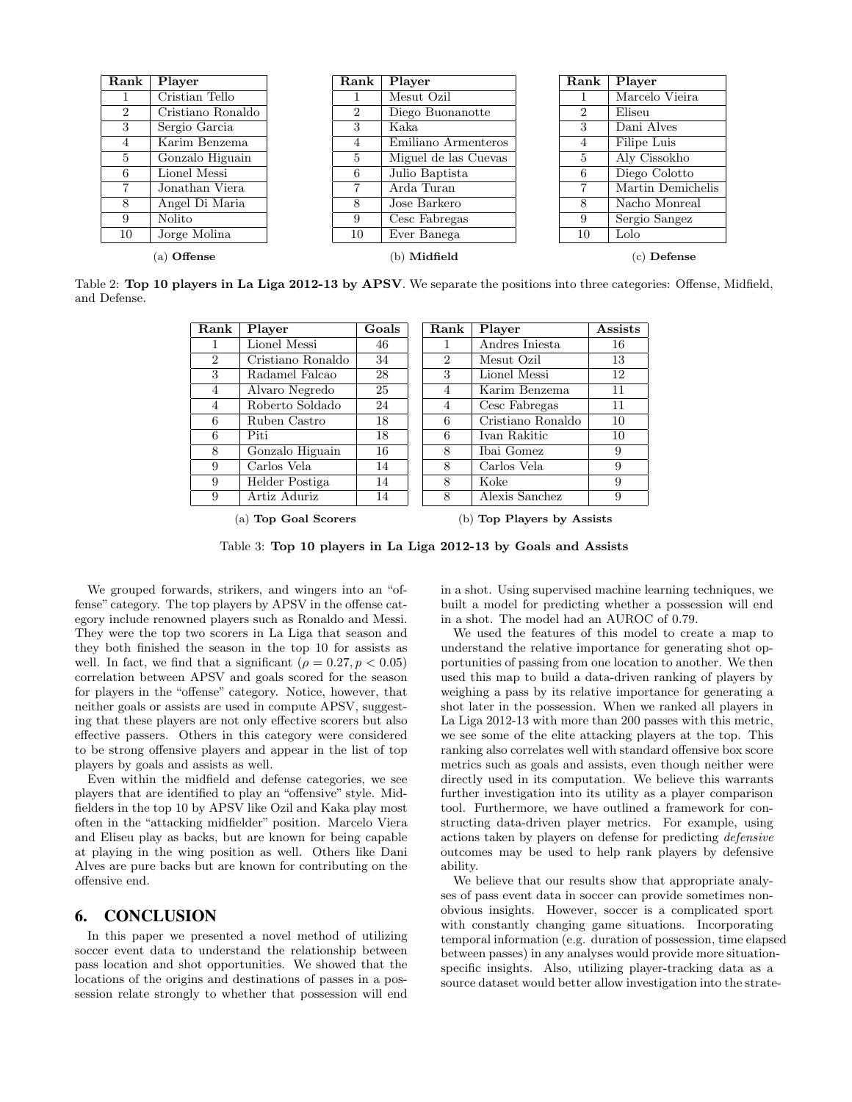| Rank           | Player            | Rank           | Player               | Rank           | Player            |
|----------------|-------------------|----------------|----------------------|----------------|-------------------|
|                | Cristian Tello    |                | Mesut Ozil           |                | Marcelo Vieira    |
| $\overline{2}$ | Cristiano Ronaldo | $\overline{2}$ | Diego Buonanotte     | $\overline{2}$ | Eliseu            |
| 3              | Sergio Garcia     | 3              | Kaka                 | 3              | Dani Alves        |
| 4              | Karim Benzema     | 4              | Emiliano Armenteros  | 4              | Filipe Luis       |
| 5              | Gonzalo Higuain   | 5              | Miguel de las Cuevas | 5              | Aly Cissokho      |
| 6              | Lionel Messi      | 6              | Julio Baptista       | 6              | Diego Colotto     |
| $\overline{7}$ | Jonathan Viera    | 7              | Arda Turan           | 7              | Martin Demichelis |
| 8              | Angel Di Maria    | 8              | Jose Barkero         | 8              | Nacho Monreal     |
| 9              | Nolito            | 9              | Cesc Fabregas        | 9              | Sergio Sangez     |
| 10             | Jorge Molina      | 10             | Ever Banega          | 10             | Lolo              |
|                | (a) Offense       |                | (b) <b>Midfield</b>  |                | (c) Defense       |

Table 2: Top 10 players in La Liga 2012-13 by APSV. We separate the positions into three categories: Offense, Midfield, and Defense.

| Rank           | Player            | Goals | Rank |                | Player            | Assists |
|----------------|-------------------|-------|------|----------------|-------------------|---------|
| 1              | Lionel Messi      | 46    |      | 1              | Andres Iniesta    | 16      |
| $\overline{2}$ | Cristiano Ronaldo | 34    |      | $\overline{2}$ | Mesut Ozil        | 13      |
| 3              | Radamel Falcao    | 28    |      | 3              | Lionel Messi      | 12      |
| $\overline{4}$ | Alvaro Negredo    | 25    |      | 4              | Karim Benzema     | 11      |
| $\overline{4}$ | Roberto Soldado   | 24    |      | 4              | Cesc Fabregas     | 11      |
| 6              | Ruben Castro      | 18    |      | 6              | Cristiano Ronaldo | 10      |
| 6              | Piti.             | 18    |      | 6              | Ivan Rakitic      | 10      |
| 8              | Gonzalo Higuain   | 16    |      | 8              | Ibai Gomez        | 9       |
| 9              | Carlos Vela       | 14    |      | 8              | Carlos Vela       | 9       |
| 9              | Helder Postiga    | 14    |      | 8              | Koke              | 9       |
| 9              | Artiz Aduriz      | 14    |      | 8              | Alexis Sanchez    | 9       |

(a) Top Goal Scorers

(b) Top Players by Assists

Table 3: Top 10 players in La Liga 2012-13 by Goals and Assists

We grouped forwards, strikers, and wingers into an "offense" category. The top players by APSV in the offense category include renowned players such as Ronaldo and Messi. They were the top two scorers in La Liga that season and they both finished the season in the top 10 for assists as well. In fact, we find that a significant ( $\rho = 0.27, p < 0.05$ ) correlation between APSV and goals scored for the season for players in the "offense" category. Notice, however, that neither goals or assists are used in compute APSV, suggesting that these players are not only effective scorers but also effective passers. Others in this category were considered to be strong offensive players and appear in the list of top players by goals and assists as well.

Even within the midfield and defense categories, we see players that are identified to play an "offensive" style. Midfielders in the top 10 by APSV like Ozil and Kaka play most often in the "attacking midfielder" position. Marcelo Viera and Eliseu play as backs, but are known for being capable at playing in the wing position as well. Others like Dani Alves are pure backs but are known for contributing on the offensive end.

## 6. CONCLUSION

In this paper we presented a novel method of utilizing soccer event data to understand the relationship between pass location and shot opportunities. We showed that the locations of the origins and destinations of passes in a possession relate strongly to whether that possession will end in a shot. Using supervised machine learning techniques, we built a model for predicting whether a possession will end in a shot. The model had an AUROC of 0.79.

We used the features of this model to create a map to understand the relative importance for generating shot opportunities of passing from one location to another. We then used this map to build a data-driven ranking of players by weighing a pass by its relative importance for generating a shot later in the possession. When we ranked all players in La Liga 2012-13 with more than 200 passes with this metric, we see some of the elite attacking players at the top. This ranking also correlates well with standard offensive box score metrics such as goals and assists, even though neither were directly used in its computation. We believe this warrants further investigation into its utility as a player comparison tool. Furthermore, we have outlined a framework for constructing data-driven player metrics. For example, using actions taken by players on defense for predicting defensive outcomes may be used to help rank players by defensive ability.

We believe that our results show that appropriate analyses of pass event data in soccer can provide sometimes nonobvious insights. However, soccer is a complicated sport with constantly changing game situations. Incorporating temporal information (e.g. duration of possession, time elapsed between passes) in any analyses would provide more situationspecific insights. Also, utilizing player-tracking data as a source dataset would better allow investigation into the strate